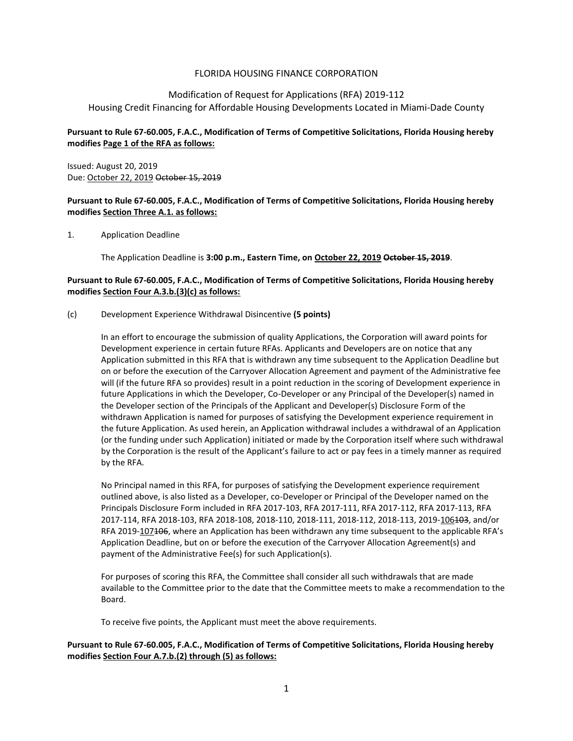## FLORIDA HOUSING FINANCE CORPORATION

# Modification of Request for Applications (RFA) 2019-112 Housing Credit Financing for Affordable Housing Developments Located in Miami-Dade County

## **Pursuant to Rule 67-60.005, F.A.C., Modification of Terms of Competitive Solicitations, Florida Housing hereby modifies Page 1 of the RFA as follows:**

Issued: August 20, 2019 Due: October 22, 2019 October 15, 2019

#### **Pursuant to Rule 67-60.005, F.A.C., Modification of Terms of Competitive Solicitations, Florida Housing hereby modifies Section Three A.1. as follows:**

1. Application Deadline

The Application Deadline is **3:00 p.m., Eastern Time, on October 22, 2019 October 15, 2019**.

## **Pursuant to Rule 67-60.005, F.A.C., Modification of Terms of Competitive Solicitations, Florida Housing hereby modifies Section Four A.3.b.(3)(c) as follows:**

#### (c) Development Experience Withdrawal Disincentive **(5 points)**

In an effort to encourage the submission of quality Applications, the Corporation will award points for Development experience in certain future RFAs. Applicants and Developers are on notice that any Application submitted in this RFA that is withdrawn any time subsequent to the Application Deadline but on or before the execution of the Carryover Allocation Agreement and payment of the Administrative fee will (if the future RFA so provides) result in a point reduction in the scoring of Development experience in future Applications in which the Developer, Co-Developer or any Principal of the Developer(s) named in the Developer section of the Principals of the Applicant and Developer(s) Disclosure Form of the withdrawn Application is named for purposes of satisfying the Development experience requirement in the future Application. As used herein, an Application withdrawal includes a withdrawal of an Application (or the funding under such Application) initiated or made by the Corporation itself where such withdrawal by the Corporation is the result of the Applicant's failure to act or pay fees in a timely manner as required by the RFA.

No Principal named in this RFA, for purposes of satisfying the Development experience requirement outlined above, is also listed as a Developer, co-Developer or Principal of the Developer named on the Principals Disclosure Form included in RFA 2017-103, RFA 2017-111, RFA 2017-112, RFA 2017-113, RFA 2017-114, RFA 2018-103, RFA 2018-108, 2018-110, 2018-111, 2018-112, 2018-113, 2019-106103, and/or RFA 2019-107406, where an Application has been withdrawn any time subsequent to the applicable RFA's Application Deadline, but on or before the execution of the Carryover Allocation Agreement(s) and payment of the Administrative Fee(s) for such Application(s).

For purposes of scoring this RFA, the Committee shall consider all such withdrawals that are made available to the Committee prior to the date that the Committee meets to make a recommendation to the Board.

To receive five points, the Applicant must meet the above requirements.

**Pursuant to Rule 67-60.005, F.A.C., Modification of Terms of Competitive Solicitations, Florida Housing hereby modifies Section Four A.7.b.(2) through (5) as follows:**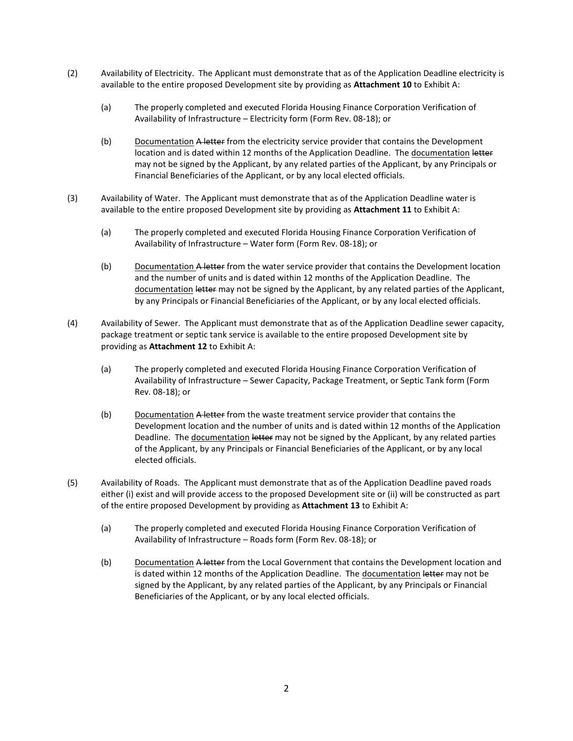- (2) Availability of Electricity. The Applicant must demonstrate that as of the Application Deadline electricity is available to the entire proposed Development site by providing as **Attachment 10** to Exhibit A:
	- (a) The properly completed and executed Florida Housing Finance Corporation Verification of Availability of Infrastructure – Electricity form (Form Rev. 08-18); or
	- (b) Documentation A letter from the electricity service provider that contains the Development location and is dated within 12 months of the Application Deadline. The documentation letter may not be signed by the Applicant, by any related parties of the Applicant, by any Principals or Financial Beneficiaries of the Applicant, or by any local elected officials.
- (3) Availability of Water. The Applicant must demonstrate that as of the Application Deadline water is available to the entire proposed Development site by providing as **Attachment 11** to Exhibit A:
	- (a) The properly completed and executed Florida Housing Finance Corporation Verification of Availability of Infrastructure – Water form (Form Rev. 08-18); or
	- (b) Documentation A letter from the water service provider that contains the Development location and the number of units and is dated within 12 months of the Application Deadline. The documentation letter may not be signed by the Applicant, by any related parties of the Applicant, by any Principals or Financial Beneficiaries of the Applicant, or by any local elected officials.
- (4) Availability of Sewer. The Applicant must demonstrate that as of the Application Deadline sewer capacity, package treatment or septic tank service is available to the entire proposed Development site by providing as **Attachment 12** to Exhibit A:
	- (a) The properly completed and executed Florida Housing Finance Corporation Verification of Availability of Infrastructure – Sewer Capacity, Package Treatment, or Septic Tank form (Form Rev. 08-18); or
	- (b) Documentation A letter from the waste treatment service provider that contains the Development location and the number of units and is dated within 12 months of the Application Deadline. The documentation letter may not be signed by the Applicant, by any related parties of the Applicant, by any Principals or Financial Beneficiaries of the Applicant, or by any local elected officials.
- (5) Availability of Roads. The Applicant must demonstrate that as of the Application Deadline paved roads either (i) exist and will provide access to the proposed Development site or (ii) will be constructed as part of the entire proposed Development by providing as **Attachment 13** to Exhibit A:
	- (a) The properly completed and executed Florida Housing Finance Corporation Verification of Availability of Infrastructure – Roads form (Form Rev. 08-18); or
	- (b) Documentation A letter from the Local Government that contains the Development location and is dated within 12 months of the Application Deadline. The documentation letter may not be signed by the Applicant, by any related parties of the Applicant, by any Principals or Financial Beneficiaries of the Applicant, or by any local elected officials.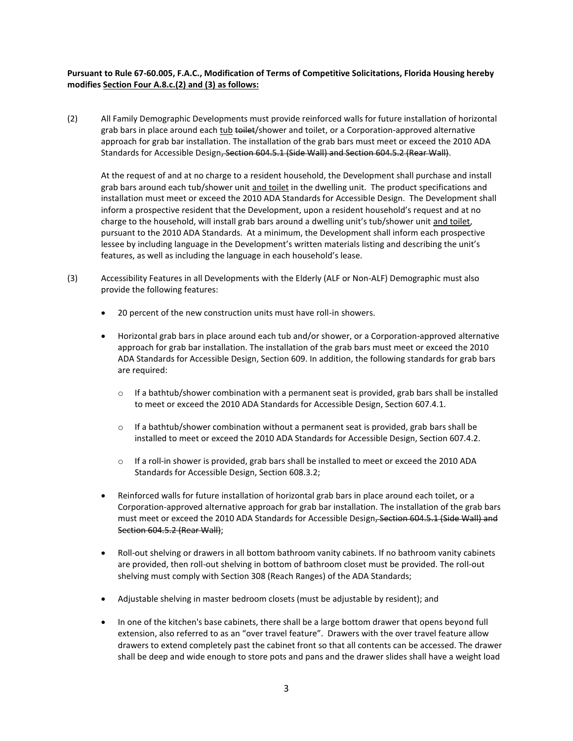## **Pursuant to Rule 67-60.005, F.A.C., Modification of Terms of Competitive Solicitations, Florida Housing hereby modifies Section Four A.8.c.(2) and (3) as follows:**

(2) All Family Demographic Developments must provide reinforced walls for future installation of horizontal grab bars in place around each tub to the total shower and toilet, or a Corporation-approved alternative approach for grab bar installation. The installation of the grab bars must meet or exceed the 2010 ADA Standards for Accessible Design<del>, Section 604.5.1 (Side Wall) and Section 604.5.2 (Rear Wall)</del>.

At the request of and at no charge to a resident household, the Development shall purchase and install grab bars around each tub/shower unit and toilet in the dwelling unit. The product specifications and installation must meet or exceed the 2010 ADA Standards for Accessible Design. The Development shall inform a prospective resident that the Development, upon a resident household's request and at no charge to the household, will install grab bars around a dwelling unit's tub/shower unit and toilet, pursuant to the 2010 ADA Standards. At a minimum, the Development shall inform each prospective lessee by including language in the Development's written materials listing and describing the unit's features, as well as including the language in each household's lease.

- (3) Accessibility Features in all Developments with the Elderly (ALF or Non-ALF) Demographic must also provide the following features:
	- 20 percent of the new construction units must have roll-in showers.
	- Horizontal grab bars in place around each tub and/or shower, or a Corporation-approved alternative approach for grab bar installation. The installation of the grab bars must meet or exceed the 2010 ADA Standards for Accessible Design, Section 609. In addition, the following standards for grab bars are required:
		- $\circ$  If a bathtub/shower combination with a permanent seat is provided, grab bars shall be installed to meet or exceed the 2010 ADA Standards for Accessible Design, Section 607.4.1.
		- $\circ$  If a bathtub/shower combination without a permanent seat is provided, grab bars shall be installed to meet or exceed the 2010 ADA Standards for Accessible Design, Section 607.4.2.
		- $\circ$  If a roll-in shower is provided, grab bars shall be installed to meet or exceed the 2010 ADA Standards for Accessible Design, Section 608.3.2;
	- Reinforced walls for future installation of horizontal grab bars in place around each toilet, or a Corporation-approved alternative approach for grab bar installation. The installation of the grab bars must meet or exceed the 2010 ADA Standards for Accessible Design-Section 604.5.1 (Side Wall) and Section 604.5.2 (Rear Wall);
	- Roll-out shelving or drawers in all bottom bathroom vanity cabinets. If no bathroom vanity cabinets are provided, then roll-out shelving in bottom of bathroom closet must be provided. The roll-out shelving must comply with Section 308 (Reach Ranges) of the ADA Standards;
	- Adjustable shelving in master bedroom closets (must be adjustable by resident); and
	- In one of the kitchen's base cabinets, there shall be a large bottom drawer that opens beyond full extension, also referred to as an "over travel feature". Drawers with the over travel feature allow drawers to extend completely past the cabinet front so that all contents can be accessed. The drawer shall be deep and wide enough to store pots and pans and the drawer slides shall have a weight load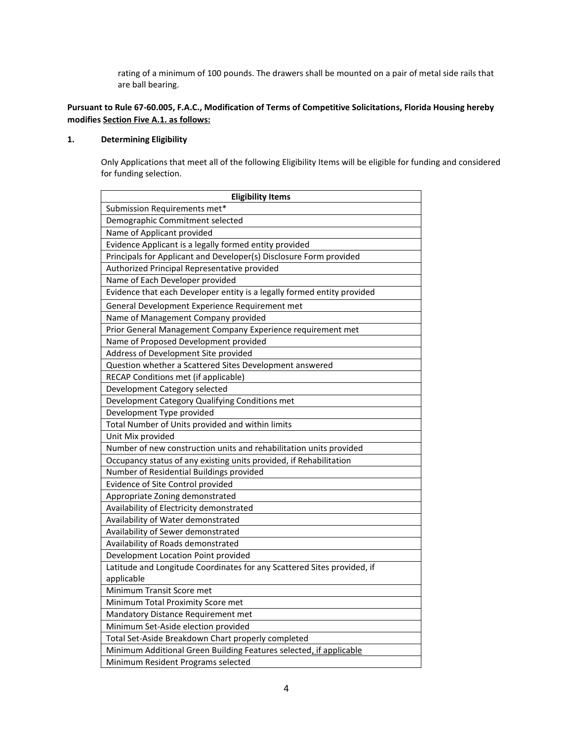rating of a minimum of 100 pounds. The drawers shall be mounted on a pair of metal side rails that are ball bearing.

## **Pursuant to Rule 67-60.005, F.A.C., Modification of Terms of Competitive Solicitations, Florida Housing hereby modifies Section Five A.1. as follows:**

# **1. Determining Eligibility**

Only Applications that meet all of the following Eligibility Items will be eligible for funding and considered for funding selection.

| <b>Eligibility Items</b>                                                |
|-------------------------------------------------------------------------|
| Submission Requirements met*                                            |
| Demographic Commitment selected                                         |
| Name of Applicant provided                                              |
| Evidence Applicant is a legally formed entity provided                  |
| Principals for Applicant and Developer(s) Disclosure Form provided      |
| Authorized Principal Representative provided                            |
| Name of Each Developer provided                                         |
| Evidence that each Developer entity is a legally formed entity provided |
| General Development Experience Requirement met                          |
| Name of Management Company provided                                     |
| Prior General Management Company Experience requirement met             |
| Name of Proposed Development provided                                   |
| Address of Development Site provided                                    |
| Question whether a Scattered Sites Development answered                 |
| RECAP Conditions met (if applicable)                                    |
| Development Category selected                                           |
| Development Category Qualifying Conditions met                          |
| Development Type provided                                               |
| Total Number of Units provided and within limits                        |
| Unit Mix provided                                                       |
| Number of new construction units and rehabilitation units provided      |
| Occupancy status of any existing units provided, if Rehabilitation      |
| Number of Residential Buildings provided                                |
| Evidence of Site Control provided                                       |
| Appropriate Zoning demonstrated                                         |
| Availability of Electricity demonstrated                                |
| Availability of Water demonstrated                                      |
| Availability of Sewer demonstrated                                      |
| Availability of Roads demonstrated                                      |
| Development Location Point provided                                     |
| Latitude and Longitude Coordinates for any Scattered Sites provided, if |
| applicable                                                              |
| Minimum Transit Score met                                               |
| Minimum Total Proximity Score met                                       |
| Mandatory Distance Requirement met                                      |
| Minimum Set-Aside election provided                                     |
| Total Set-Aside Breakdown Chart properly completed                      |
| Minimum Additional Green Building Features selected, if applicable      |
| Minimum Resident Programs selected                                      |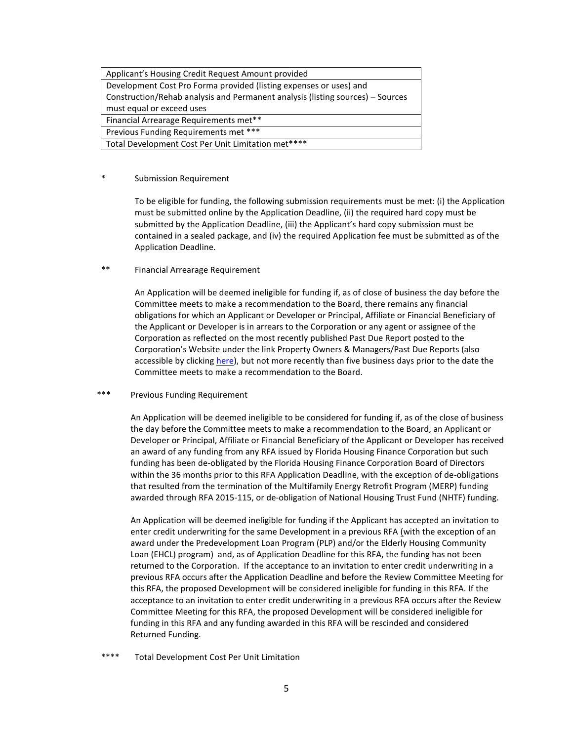| Applicant's Housing Credit Request Amount provided                             |
|--------------------------------------------------------------------------------|
| Development Cost Pro Forma provided (listing expenses or uses) and             |
| Construction/Rehab analysis and Permanent analysis (listing sources) - Sources |
| must equal or exceed uses                                                      |
| Financial Arrearage Requirements met**                                         |
| Previous Funding Requirements met ***                                          |
| Total Development Cost Per Unit Limitation met****                             |

#### \* Submission Requirement

To be eligible for funding, the following submission requirements must be met: (i) the Application must be submitted online by the Application Deadline, (ii) the required hard copy must be submitted by the Application Deadline, (iii) the Applicant's hard copy submission must be contained in a sealed package, and (iv) the required Application fee must be submitted as of the Application Deadline.

\*\* Financial Arrearage Requirement

An Application will be deemed ineligible for funding if, as of close of business the day before the Committee meets to make a recommendation to the Board, there remains any financial obligations for which an Applicant or Developer or Principal, Affiliate or Financial Beneficiary of the Applicant or Developer is in arrears to the Corporation or any agent or assignee of the Corporation as reflected on the most recently published Past Due Report posted to the Corporation's Website under the link Property Owners & Managers/Past Due Reports (also accessible by clicking [here\)](http://www.floridahousing.org/data-docs-reports/past-due-reports), but not more recently than five business days prior to the date the Committee meets to make a recommendation to the Board.

\*\*\* Previous Funding Requirement

An Application will be deemed ineligible to be considered for funding if, as of the close of business the day before the Committee meets to make a recommendation to the Board, an Applicant or Developer or Principal, Affiliate or Financial Beneficiary of the Applicant or Developer has received an award of any funding from any RFA issued by Florida Housing Finance Corporation but such funding has been de-obligated by the Florida Housing Finance Corporation Board of Directors within the 36 months prior to this RFA Application Deadline, with the exception of de-obligations that resulted from the termination of the Multifamily Energy Retrofit Program (MERP) funding awarded through RFA 2015-115, or de-obligation of National Housing Trust Fund (NHTF) funding.

An Application will be deemed ineligible for funding if the Applicant has accepted an invitation to enter credit underwriting for the same Development in a previous RFA (with the exception of an award under the Predevelopment Loan Program (PLP) and/or the Elderly Housing Community Loan (EHCL) program) and, as of Application Deadline for this RFA, the funding has not been returned to the Corporation. If the acceptance to an invitation to enter credit underwriting in a previous RFA occurs after the Application Deadline and before the Review Committee Meeting for this RFA, the proposed Development will be considered ineligible for funding in this RFA. If the acceptance to an invitation to enter credit underwriting in a previous RFA occurs after the Review Committee Meeting for this RFA, the proposed Development will be considered ineligible for funding in this RFA and any funding awarded in this RFA will be rescinded and considered Returned Funding.

\*\*\*\* Total Development Cost Per Unit Limitation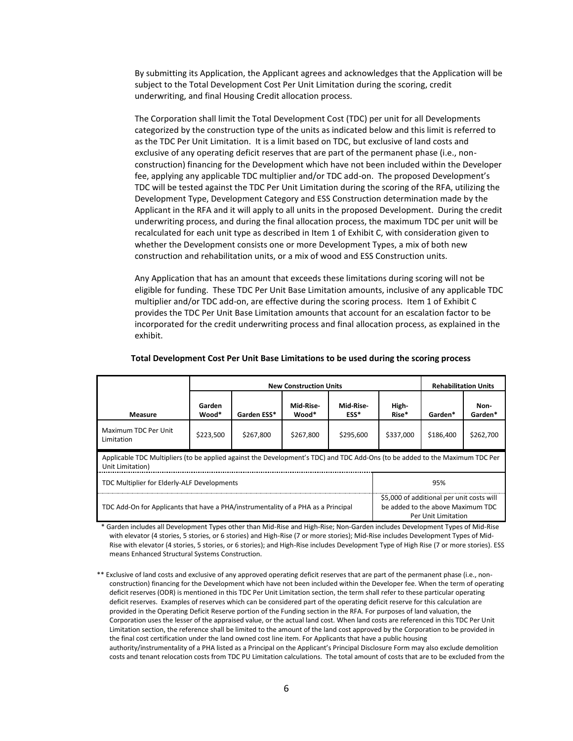By submitting its Application, the Applicant agrees and acknowledges that the Application will be subject to the Total Development Cost Per Unit Limitation during the scoring, credit underwriting, and final Housing Credit allocation process.

The Corporation shall limit the Total Development Cost (TDC) per unit for all Developments categorized by the construction type of the units as indicated below and this limit is referred to as the TDC Per Unit Limitation. It is a limit based on TDC, but exclusive of land costs and exclusive of any operating deficit reserves that are part of the permanent phase (i.e., nonconstruction) financing for the Development which have not been included within the Developer fee, applying any applicable TDC multiplier and/or TDC add-on. The proposed Development's TDC will be tested against the TDC Per Unit Limitation during the scoring of the RFA, utilizing the Development Type, Development Category and ESS Construction determination made by the Applicant in the RFA and it will apply to all units in the proposed Development. During the credit underwriting process, and during the final allocation process, the maximum TDC per unit will be recalculated for each unit type as described in Item 1 of Exhibit C, with consideration given to whether the Development consists one or more Development Types, a mix of both new construction and rehabilitation units, or a mix of wood and ESS Construction units.

Any Application that has an amount that exceeds these limitations during scoring will not be eligible for funding. These TDC Per Unit Base Limitation amounts, inclusive of any applicable TDC multiplier and/or TDC add-on, are effective during the scoring process. Item 1 of Exhibit C provides the TDC Per Unit Base Limitation amounts that account for an escalation factor to be incorporated for the credit underwriting process and final allocation process, as explained in the exhibit.

|                                                                                                                                                  | <b>New Construction Units</b> |             |                                                                                                       |                   | <b>Rehabilitation Units</b> |           |                 |
|--------------------------------------------------------------------------------------------------------------------------------------------------|-------------------------------|-------------|-------------------------------------------------------------------------------------------------------|-------------------|-----------------------------|-----------|-----------------|
| Measure                                                                                                                                          | Garden<br>Wood*               | Garden ESS* | Mid-Rise-<br>Wood*                                                                                    | Mid-Rise-<br>ESS* | High-<br>Rise*              | Garden*   | Non-<br>Garden* |
| Maximum TDC Per Unit<br>Limitation                                                                                                               | \$223.500                     | \$267.800   | \$267.800                                                                                             | \$295.600         | \$337,000                   | \$186,400 | \$262,700       |
| Applicable TDC Multipliers (to be applied against the Development's TDC) and TDC Add-Ons (to be added to the Maximum TDC Per<br>Unit Limitation) |                               |             |                                                                                                       |                   |                             |           |                 |
| TDC Multiplier for Elderly-ALF Developments<br>95%                                                                                               |                               |             |                                                                                                       |                   |                             |           |                 |
| TDC Add-On for Applicants that have a PHA/instrumentality of a PHA as a Principal                                                                |                               |             | \$5,000 of additional per unit costs will<br>be added to the above Maximum TDC<br>Per Unit Limitation |                   |                             |           |                 |

#### **Total Development Cost Per Unit Base Limitations to be used during the scoring process**

\* Garden includes all Development Types other than Mid-Rise and High-Rise; Non-Garden includes Development Types of Mid-Rise with elevator (4 stories, 5 stories, or 6 stories) and High-Rise (7 or more stories); Mid-Rise includes Development Types of Mid-Rise with elevator (4 stories, 5 stories, or 6 stories); and High-Rise includes Development Type of High Rise (7 or more stories). ESS means Enhanced Structural Systems Construction.

\*\* Exclusive of land costs and exclusive of any approved operating deficit reserves that are part of the permanent phase (i.e., nonconstruction) financing for the Development which have not been included within the Developer fee. When the term of operating deficit reserves (ODR) is mentioned in this TDC Per Unit Limitation section, the term shall refer to these particular operating deficit reserves. Examples of reserves which can be considered part of the operating deficit reserve for this calculation are provided in the Operating Deficit Reserve portion of the Funding section in the RFA. For purposes of land valuation, the Corporation uses the lesser of the appraised value, or the actual land cost. When land costs are referenced in this TDC Per Unit Limitation section, the reference shall be limited to the amount of the land cost approved by the Corporation to be provided in the final cost certification under the land owned cost line item. For Applicants that have a public housing authority/instrumentality of a PHA listed as a Principal on the Applicant's Principal Disclosure Form may also exclude demolition costs and tenant relocation costs from TDC PU Limitation calculations. The total amount of costs that are to be excluded from the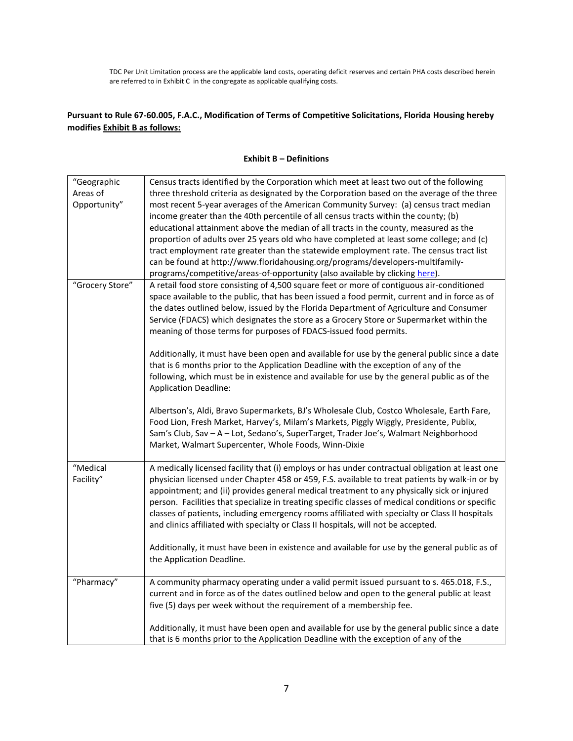TDC Per Unit Limitation process are the applicable land costs, operating deficit reserves and certain PHA costs described herein are referred to in Exhibit C in the congregate as applicable qualifying costs.

# **Pursuant to Rule 67-60.005, F.A.C., Modification of Terms of Competitive Solicitations, Florida Housing hereby modifies Exhibit B as follows:**

## **Exhibit B – Definitions**

| "Geographic     | Census tracts identified by the Corporation which meet at least two out of the following          |
|-----------------|---------------------------------------------------------------------------------------------------|
| Areas of        | three threshold criteria as designated by the Corporation based on the average of the three       |
| Opportunity"    | most recent 5-year averages of the American Community Survey: (a) census tract median             |
|                 | income greater than the 40th percentile of all census tracts within the county; (b)               |
|                 | educational attainment above the median of all tracts in the county, measured as the              |
|                 | proportion of adults over 25 years old who have completed at least some college; and (c)          |
|                 | tract employment rate greater than the statewide employment rate. The census tract list           |
|                 | can be found at http://www.floridahousing.org/programs/developers-multifamily-                    |
|                 | programs/competitive/areas-of-opportunity (also available by clicking here).                      |
| "Grocery Store" | A retail food store consisting of 4,500 square feet or more of contiguous air-conditioned         |
|                 | space available to the public, that has been issued a food permit, current and in force as of     |
|                 | the dates outlined below, issued by the Florida Department of Agriculture and Consumer            |
|                 | Service (FDACS) which designates the store as a Grocery Store or Supermarket within the           |
|                 | meaning of those terms for purposes of FDACS-issued food permits.                                 |
|                 | Additionally, it must have been open and available for use by the general public since a date     |
|                 | that is 6 months prior to the Application Deadline with the exception of any of the               |
|                 | following, which must be in existence and available for use by the general public as of the       |
|                 | <b>Application Deadline:</b>                                                                      |
|                 | Albertson's, Aldi, Bravo Supermarkets, BJ's Wholesale Club, Costco Wholesale, Earth Fare,         |
|                 | Food Lion, Fresh Market, Harvey's, Milam's Markets, Piggly Wiggly, Presidente, Publix,            |
|                 | Sam's Club, Sav - A - Lot, Sedano's, SuperTarget, Trader Joe's, Walmart Neighborhood              |
|                 | Market, Walmart Supercenter, Whole Foods, Winn-Dixie                                              |
|                 |                                                                                                   |
| "Medical        | A medically licensed facility that (i) employs or has under contractual obligation at least one   |
| Facility"       | physician licensed under Chapter 458 or 459, F.S. available to treat patients by walk-in or by    |
|                 | appointment; and (ii) provides general medical treatment to any physically sick or injured        |
|                 | person. Facilities that specialize in treating specific classes of medical conditions or specific |
|                 | classes of patients, including emergency rooms affiliated with specialty or Class II hospitals    |
|                 | and clinics affiliated with specialty or Class II hospitals, will not be accepted.                |
|                 | Additionally, it must have been in existence and available for use by the general public as of    |
|                 | the Application Deadline.                                                                         |
|                 |                                                                                                   |
| "Pharmacy"      | A community pharmacy operating under a valid permit issued pursuant to s. 465.018, F.S.,          |
|                 | current and in force as of the dates outlined below and open to the general public at least       |
|                 | five (5) days per week without the requirement of a membership fee.                               |
|                 | Additionally, it must have been open and available for use by the general public since a date     |
|                 | that is 6 months prior to the Application Deadline with the exception of any of the               |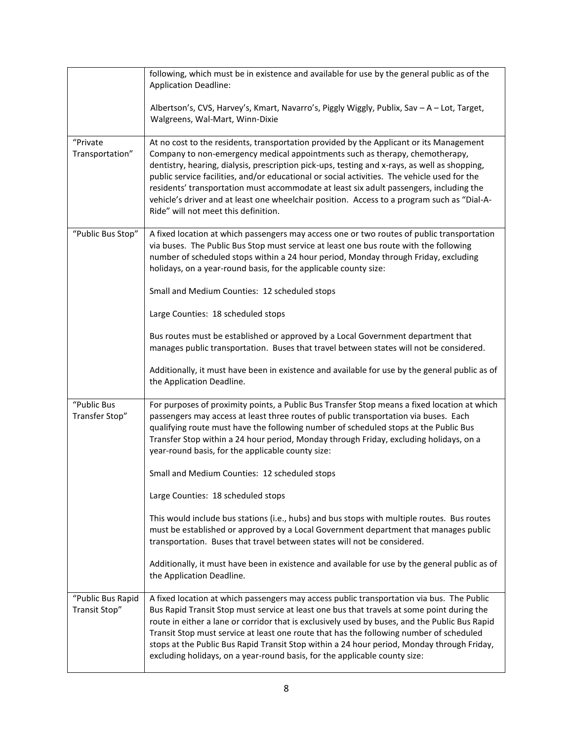|                                    | following, which must be in existence and available for use by the general public as of the<br><b>Application Deadline:</b>                                                                                                                                                                                                                                                                                                                                                                                                                                                                                |
|------------------------------------|------------------------------------------------------------------------------------------------------------------------------------------------------------------------------------------------------------------------------------------------------------------------------------------------------------------------------------------------------------------------------------------------------------------------------------------------------------------------------------------------------------------------------------------------------------------------------------------------------------|
|                                    | Albertson's, CVS, Harvey's, Kmart, Navarro's, Piggly Wiggly, Publix, Sav - A - Lot, Target,<br>Walgreens, Wal-Mart, Winn-Dixie                                                                                                                                                                                                                                                                                                                                                                                                                                                                             |
| "Private<br>Transportation"        | At no cost to the residents, transportation provided by the Applicant or its Management<br>Company to non-emergency medical appointments such as therapy, chemotherapy,<br>dentistry, hearing, dialysis, prescription pick-ups, testing and x-rays, as well as shopping,<br>public service facilities, and/or educational or social activities. The vehicle used for the<br>residents' transportation must accommodate at least six adult passengers, including the<br>vehicle's driver and at least one wheelchair position. Access to a program such as "Dial-A-<br>Ride" will not meet this definition. |
| "Public Bus Stop"                  | A fixed location at which passengers may access one or two routes of public transportation<br>via buses. The Public Bus Stop must service at least one bus route with the following<br>number of scheduled stops within a 24 hour period, Monday through Friday, excluding<br>holidays, on a year-round basis, for the applicable county size:                                                                                                                                                                                                                                                             |
|                                    | Small and Medium Counties: 12 scheduled stops                                                                                                                                                                                                                                                                                                                                                                                                                                                                                                                                                              |
|                                    | Large Counties: 18 scheduled stops                                                                                                                                                                                                                                                                                                                                                                                                                                                                                                                                                                         |
|                                    | Bus routes must be established or approved by a Local Government department that<br>manages public transportation. Buses that travel between states will not be considered.                                                                                                                                                                                                                                                                                                                                                                                                                                |
|                                    | Additionally, it must have been in existence and available for use by the general public as of<br>the Application Deadline.                                                                                                                                                                                                                                                                                                                                                                                                                                                                                |
| "Public Bus<br>Transfer Stop"      | For purposes of proximity points, a Public Bus Transfer Stop means a fixed location at which<br>passengers may access at least three routes of public transportation via buses. Each<br>qualifying route must have the following number of scheduled stops at the Public Bus<br>Transfer Stop within a 24 hour period, Monday through Friday, excluding holidays, on a<br>year-round basis, for the applicable county size:                                                                                                                                                                                |
|                                    | Small and Medium Counties: 12 scheduled stops                                                                                                                                                                                                                                                                                                                                                                                                                                                                                                                                                              |
|                                    | Large Counties: 18 scheduled stops                                                                                                                                                                                                                                                                                                                                                                                                                                                                                                                                                                         |
|                                    | This would include bus stations (i.e., hubs) and bus stops with multiple routes. Bus routes<br>must be established or approved by a Local Government department that manages public<br>transportation. Buses that travel between states will not be considered.                                                                                                                                                                                                                                                                                                                                            |
|                                    | Additionally, it must have been in existence and available for use by the general public as of<br>the Application Deadline.                                                                                                                                                                                                                                                                                                                                                                                                                                                                                |
| "Public Bus Rapid<br>Transit Stop" | A fixed location at which passengers may access public transportation via bus. The Public<br>Bus Rapid Transit Stop must service at least one bus that travels at some point during the<br>route in either a lane or corridor that is exclusively used by buses, and the Public Bus Rapid<br>Transit Stop must service at least one route that has the following number of scheduled<br>stops at the Public Bus Rapid Transit Stop within a 24 hour period, Monday through Friday,<br>excluding holidays, on a year-round basis, for the applicable county size:                                           |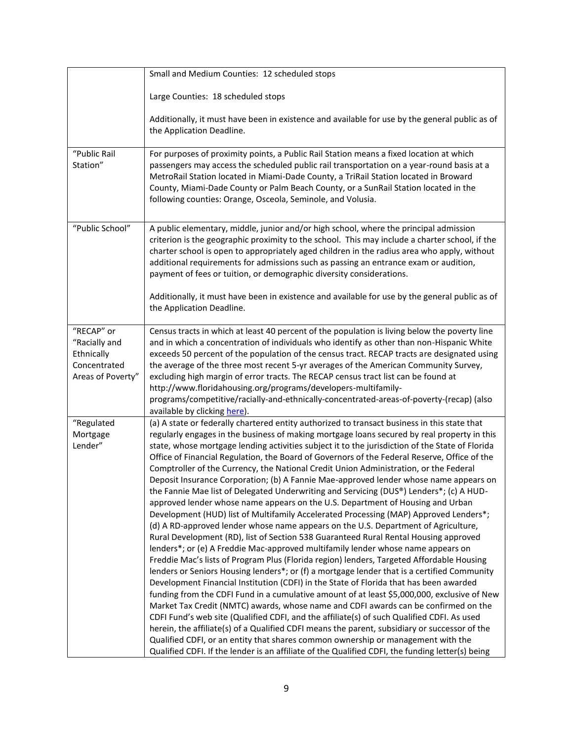|                                                                                | Small and Medium Counties: 12 scheduled stops                                                                                                                                                                                                                                                                                                                                                                                                                                                                                                                                                                                                                                                                                                                                                                                                                                                                                                                                                                                                                                                                                                                                                                                                                                                                                                                                                                                                                                                                                                                                                                                                                                                                                                                                                                                                                                                                                                                                               |
|--------------------------------------------------------------------------------|---------------------------------------------------------------------------------------------------------------------------------------------------------------------------------------------------------------------------------------------------------------------------------------------------------------------------------------------------------------------------------------------------------------------------------------------------------------------------------------------------------------------------------------------------------------------------------------------------------------------------------------------------------------------------------------------------------------------------------------------------------------------------------------------------------------------------------------------------------------------------------------------------------------------------------------------------------------------------------------------------------------------------------------------------------------------------------------------------------------------------------------------------------------------------------------------------------------------------------------------------------------------------------------------------------------------------------------------------------------------------------------------------------------------------------------------------------------------------------------------------------------------------------------------------------------------------------------------------------------------------------------------------------------------------------------------------------------------------------------------------------------------------------------------------------------------------------------------------------------------------------------------------------------------------------------------------------------------------------------------|
|                                                                                | Large Counties: 18 scheduled stops                                                                                                                                                                                                                                                                                                                                                                                                                                                                                                                                                                                                                                                                                                                                                                                                                                                                                                                                                                                                                                                                                                                                                                                                                                                                                                                                                                                                                                                                                                                                                                                                                                                                                                                                                                                                                                                                                                                                                          |
|                                                                                | Additionally, it must have been in existence and available for use by the general public as of<br>the Application Deadline.                                                                                                                                                                                                                                                                                                                                                                                                                                                                                                                                                                                                                                                                                                                                                                                                                                                                                                                                                                                                                                                                                                                                                                                                                                                                                                                                                                                                                                                                                                                                                                                                                                                                                                                                                                                                                                                                 |
| "Public Rail<br>Station"                                                       | For purposes of proximity points, a Public Rail Station means a fixed location at which<br>passengers may access the scheduled public rail transportation on a year-round basis at a<br>MetroRail Station located in Miami-Dade County, a TriRail Station located in Broward<br>County, Miami-Dade County or Palm Beach County, or a SunRail Station located in the<br>following counties: Orange, Osceola, Seminole, and Volusia.                                                                                                                                                                                                                                                                                                                                                                                                                                                                                                                                                                                                                                                                                                                                                                                                                                                                                                                                                                                                                                                                                                                                                                                                                                                                                                                                                                                                                                                                                                                                                          |
| "Public School"                                                                | A public elementary, middle, junior and/or high school, where the principal admission<br>criterion is the geographic proximity to the school. This may include a charter school, if the<br>charter school is open to appropriately aged children in the radius area who apply, without<br>additional requirements for admissions such as passing an entrance exam or audition,<br>payment of fees or tuition, or demographic diversity considerations.<br>Additionally, it must have been in existence and available for use by the general public as of<br>the Application Deadline.                                                                                                                                                                                                                                                                                                                                                                                                                                                                                                                                                                                                                                                                                                                                                                                                                                                                                                                                                                                                                                                                                                                                                                                                                                                                                                                                                                                                       |
| "RECAP" or<br>"Racially and<br>Ethnically<br>Concentrated<br>Areas of Poverty" | Census tracts in which at least 40 percent of the population is living below the poverty line<br>and in which a concentration of individuals who identify as other than non-Hispanic White<br>exceeds 50 percent of the population of the census tract. RECAP tracts are designated using<br>the average of the three most recent 5-yr averages of the American Community Survey,<br>excluding high margin of error tracts. The RECAP census tract list can be found at<br>http://www.floridahousing.org/programs/developers-multifamily-<br>programs/competitive/racially-and-ethnically-concentrated-areas-of-poverty-(recap) (also<br>available by clicking here).                                                                                                                                                                                                                                                                                                                                                                                                                                                                                                                                                                                                                                                                                                                                                                                                                                                                                                                                                                                                                                                                                                                                                                                                                                                                                                                       |
| "Regulated<br>Mortgage<br>Lender"                                              | (a) A state or federally chartered entity authorized to transact business in this state that<br>regularly engages in the business of making mortgage loans secured by real property in this<br>state, whose mortgage lending activities subject it to the jurisdiction of the State of Florida<br>Office of Financial Regulation, the Board of Governors of the Federal Reserve, Office of the<br>Comptroller of the Currency, the National Credit Union Administration, or the Federal<br>Deposit Insurance Corporation; (b) A Fannie Mae-approved lender whose name appears on<br>the Fannie Mae list of Delegated Underwriting and Servicing (DUS®) Lenders*; (c) A HUD-<br>approved lender whose name appears on the U.S. Department of Housing and Urban<br>Development (HUD) list of Multifamily Accelerated Processing (MAP) Approved Lenders*;<br>(d) A RD-approved lender whose name appears on the U.S. Department of Agriculture,<br>Rural Development (RD), list of Section 538 Guaranteed Rural Rental Housing approved<br>lenders*; or (e) A Freddie Mac-approved multifamily lender whose name appears on<br>Freddie Mac's lists of Program Plus (Florida region) lenders, Targeted Affordable Housing<br>lenders or Seniors Housing lenders*; or (f) a mortgage lender that is a certified Community<br>Development Financial Institution (CDFI) in the State of Florida that has been awarded<br>funding from the CDFI Fund in a cumulative amount of at least \$5,000,000, exclusive of New<br>Market Tax Credit (NMTC) awards, whose name and CDFI awards can be confirmed on the<br>CDFI Fund's web site (Qualified CDFI, and the affiliate(s) of such Qualified CDFI. As used<br>herein, the affiliate(s) of a Qualified CDFI means the parent, subsidiary or successor of the<br>Qualified CDFI, or an entity that shares common ownership or management with the<br>Qualified CDFI. If the lender is an affiliate of the Qualified CDFI, the funding letter(s) being |